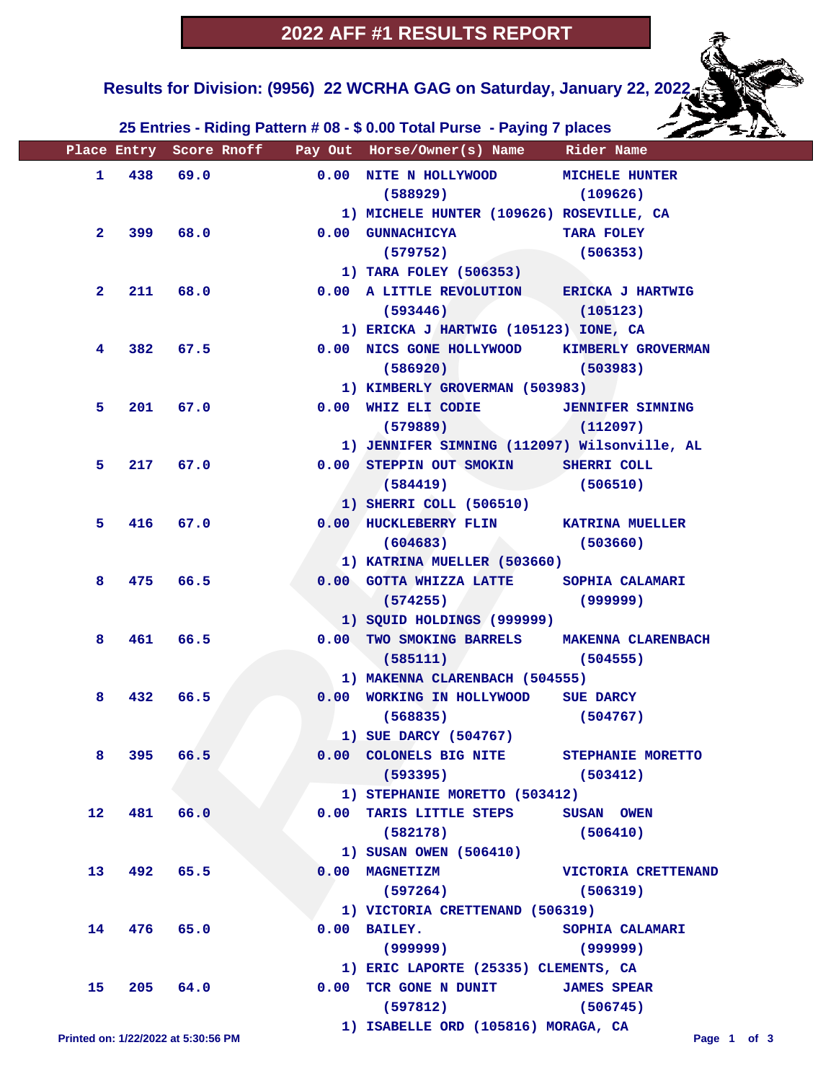**Results for Division: (9956) 22 WCRHA GAG on Saturday, January 22, 2022** 

 **25 Entries - Riding Pattern # 08 - \$ 0.00 Total Purse - Paying 7 places**

|                 |            |                                     | Place Entry Score Rnoff Pay Out Horse/Owner(s) Name Rider Name |                            |
|-----------------|------------|-------------------------------------|----------------------------------------------------------------|----------------------------|
| $\mathbf{1}$    |            | 438 69.0                            | 0.00 NITE N HOLLYWOOD MICHELE HUNTER                           |                            |
|                 |            |                                     | $(588929)$ (109626)                                            |                            |
|                 |            |                                     | 1) MICHELE HUNTER (109626) ROSEVILLE, CA                       |                            |
| $\mathbf{2}$    |            | 399 68.0                            | 0.00 GUNNACHICYA                                               | TARA FOLEY                 |
|                 |            |                                     | (579752)                                                       | (506353)                   |
|                 |            |                                     | 1) TARA FOLEY (506353)                                         |                            |
| $\mathbf{2}$    | 211        | 68.0                                | 0.00 A LITTLE REVOLUTION ERICKA J HARTWIG                      |                            |
|                 |            |                                     | $(593446)$ $(105123)$                                          |                            |
|                 |            |                                     | 1) ERICKA J HARTWIG (105123) IONE, CA                          |                            |
| 4               |            | 382 67.5                            | 0.00 NICS GONE HOLLYWOOD KIMBERLY GROVERMAN                    |                            |
|                 |            |                                     | $(586920)$ (503983)                                            |                            |
|                 |            |                                     | 1) KIMBERLY GROVERMAN (503983)                                 |                            |
| 5.              | 201        | 67.0                                | 0.00 WHIZ ELI CODIE JENNIFER SIMNING                           |                            |
|                 |            |                                     | (579889)                                                       | (112097)                   |
|                 |            |                                     | 1) JENNIFER SIMNING (112097) Wilsonville, AL                   |                            |
| 5.              | 217        | 67.0                                | 0.00 STEPPIN OUT SMOKIN SHERRI COLL                            |                            |
|                 |            |                                     | (584419)                                                       | (506510)                   |
|                 |            |                                     | 1) SHERRI COLL (506510)                                        |                            |
| 5.              | 416        | 67.0                                | 0.00 HUCKLEBERRY FLIN KATRINA MUELLER                          |                            |
|                 |            |                                     | (604683)                                                       | (503660)                   |
|                 |            |                                     | 1) KATRINA MUELLER (503660)                                    |                            |
| 8               | 475        | 66.5                                | 0.00 GOTTA WHIZZA LATTE SOPHIA CALAMARI                        |                            |
|                 |            |                                     | $(574255)$ (999999)                                            |                            |
|                 |            |                                     | 1) SQUID HOLDINGS (999999)                                     |                            |
| 8               |            | 461 66.5                            | 0.00 TWO SMOKING BARRELS MAKENNA CLARENBACH                    |                            |
|                 |            |                                     | $(585111)$ (504555)                                            |                            |
|                 |            |                                     | 1) MAKENNA CLARENBACH (504555)                                 |                            |
| 8               | 432        | 66.5                                | 0.00 WORKING IN HOLLYWOOD SUE DARCY                            |                            |
|                 |            |                                     | $(568835)$ (504767)                                            |                            |
|                 |            |                                     | 1) SUE DARCY (504767)                                          |                            |
|                 | 8 395 66.5 |                                     | 0.00 COLONELS BIG NITE STEPHANIE MORETTO                       |                            |
|                 |            |                                     | $(593395)$ (503412)                                            |                            |
|                 |            |                                     | 1) STEPHANIE MORETTO (503412)                                  |                            |
| 12 <sup>°</sup> |            | 481 66.0                            | 0.00 TARIS LITTLE STEPS SUSAN OWEN                             |                            |
|                 |            |                                     | (582178)                                                       | (506410)                   |
|                 |            |                                     | 1) SUSAN OWEN (506410)                                         |                            |
| 13              |            | 492 65.5                            | $0.00$ MAGNETIZM                                               | <b>VICTORIA CRETTENAND</b> |
|                 |            |                                     | (597264)                                                       | (506319)                   |
|                 |            |                                     | 1) VICTORIA CRETTENAND (506319)                                |                            |
| 14              |            | 476 65.0                            | $0.00$ BAILEY.                                                 | SOPHIA CALAMARI            |
|                 |            |                                     | (999999)                                                       | (999999)                   |
|                 |            |                                     | 1) ERIC LAPORTE (25335) CLEMENTS, CA                           |                            |
| 15              |            | 205 64.0                            | 0.00 TCR GONE N DUNIT                                          | <b>JAMES SPEAR</b>         |
|                 |            |                                     | (597812)                                                       | (506745)                   |
|                 |            |                                     | 1) ISABELLE ORD (105816) MORAGA, CA                            |                            |
|                 |            | Printed on: 1/22/2022 at 5:30:56 PM |                                                                | Page 1 of 3                |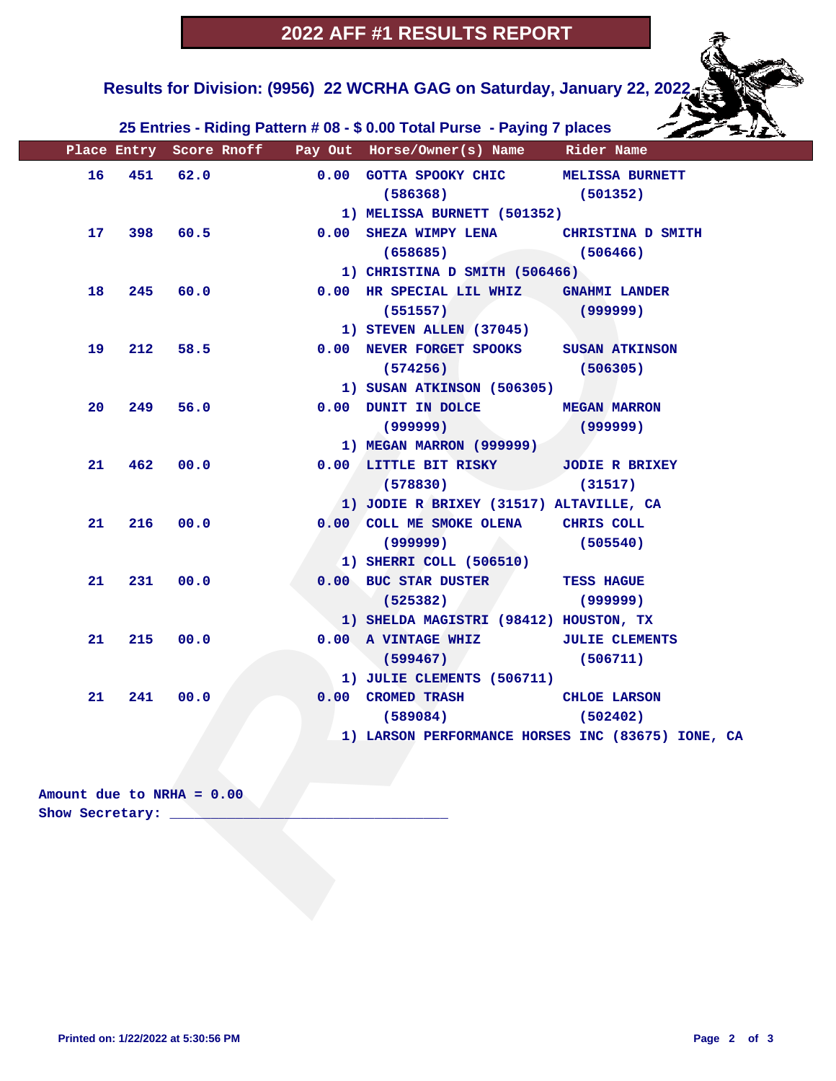### **Results for Division: (9956) 22 WCRHA GAG on Saturday, January 22, 2022**

 **25 Entries - Riding Pattern # 08 - \$ 0.00 Total Purse - Paying 7 places**

|                           |     |          |          | Place Entry Score Rnoff Pay Out Horse/Owner(s) Name Rider Name |          |
|---------------------------|-----|----------|----------|----------------------------------------------------------------|----------|
| 16                        |     | 451 62.0 |          | 0.00 GOTTA SPOOKY CHIC MELISSA BURNETT<br>$(586368)$ (501352)  |          |
|                           |     |          |          | 1) MELISSA BURNETT (501352)                                    |          |
| 17                        |     |          | 398 60.5 | 0.00 SHEZA WIMPY LENA CHRISTINA D SMITH                        |          |
|                           |     |          |          | $(658685)$ (506466)                                            |          |
|                           |     |          |          | 1) CHRISTINA D SMITH (506466)                                  |          |
| 18                        |     | 245 60.0 |          | 0.00 HR SPECIAL LIL WHIZ GNAHMI LANDER                         |          |
|                           |     |          |          | (999999)<br>(551557)                                           |          |
|                           |     |          |          | 1) STEVEN ALLEN (37045)                                        |          |
| 19                        |     |          | 212 58.5 | 0.00 NEVER FORGET SPOOKS SUSAN ATKINSON                        |          |
|                           |     |          |          | $(574256)$ (506305)                                            |          |
|                           |     |          |          | 1) SUSAN ATKINSON (506305)                                     |          |
| 20                        | 249 |          | 56.0     | 0.00 DUNIT IN DOLCE MEGAN MARRON                               |          |
|                           |     |          |          | $(999999)$ (999999)                                            |          |
|                           |     |          |          | 1) MEGAN MARRON (999999)                                       |          |
| 21                        | 462 |          | 00.0     | 0.00 LITTLE BIT RISKY JODIE R BRIXEY                           |          |
|                           |     |          |          | (578830)                                                       | (31517)  |
|                           |     |          |          | 1) JODIE R BRIXEY (31517) ALTAVILLE, CA                        |          |
| 21                        | 216 | 00.0     |          | 0.00 COLL ME SMOKE OLENA CHRIS COLL                            |          |
|                           |     |          |          | (999999)                                                       | (505540) |
|                           |     |          |          | 1) SHERRI COLL (506510)                                        |          |
| 21                        | 231 | 00.0     |          | 0.00 BUC STAR DUSTER TESS HAGUE                                |          |
|                           |     |          |          | (525382)                                                       | (999999) |
|                           |     |          |          | 1) SHELDA MAGISTRI (98412) HOUSTON, TX                         |          |
| 21                        |     | 215 00.0 |          | 0.00 A VINTAGE WHIZ JULIE CLEMENTS                             |          |
|                           |     |          |          | $(599467)$ (506711)                                            |          |
|                           |     |          |          | 1) JULIE CLEMENTS (506711)                                     |          |
| 21                        | 241 | 00.0     |          | 0.00 CROMED TRASH CHLOE LARSON                                 |          |
|                           |     |          |          | $(589084)$ (502402)                                            |          |
|                           |     |          |          | 1) LARSON PERFORMANCE HORSES INC (83675) IONE, CA              |          |
|                           |     |          |          |                                                                |          |
|                           |     |          |          |                                                                |          |
| Amount due to NRHA = 0.00 |     |          |          |                                                                |          |
| Show Secretary: _         |     |          |          |                                                                |          |
|                           |     |          |          |                                                                |          |
|                           |     |          |          |                                                                |          |
|                           |     |          |          |                                                                |          |
|                           |     |          |          |                                                                |          |
|                           |     |          |          |                                                                |          |

#### **Amount due to NRHA = 0.00 Show Secretary: \_\_\_\_\_\_\_\_\_\_\_\_\_\_\_\_\_\_\_\_\_\_\_\_\_\_\_\_\_\_\_\_\_\_**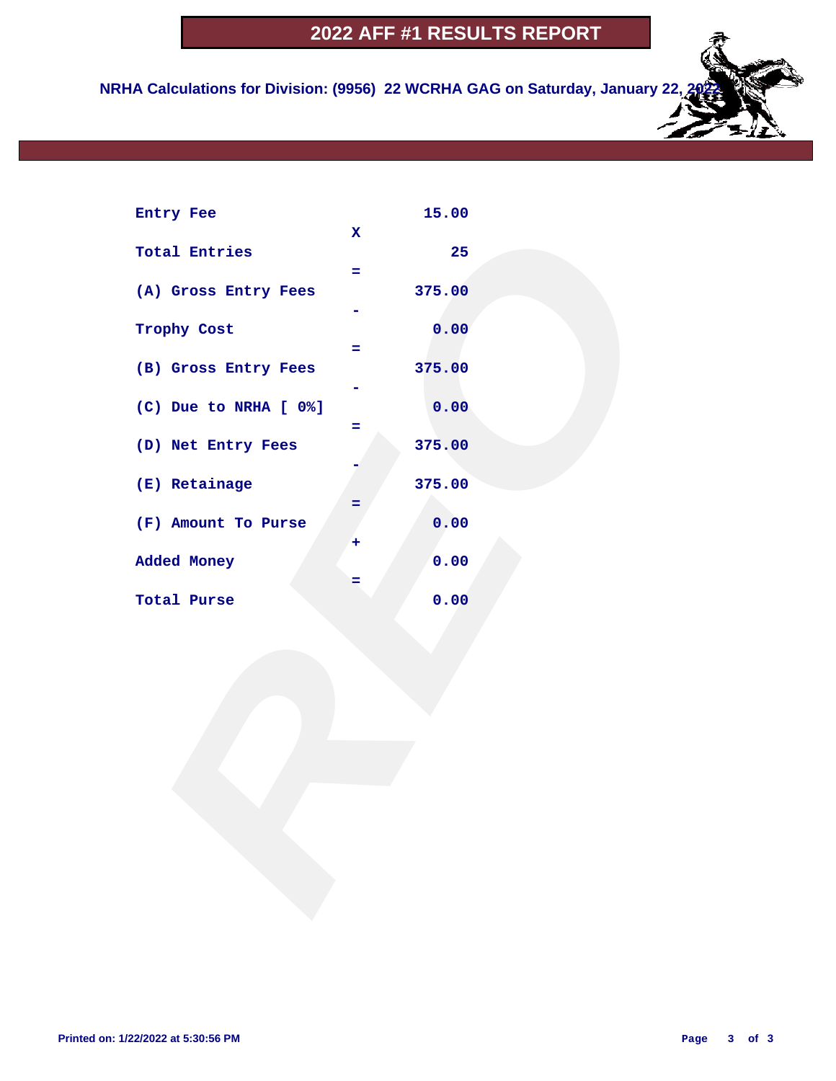### **2022 AFF #1 RESULTS REPORT**

 **NRHA Calculations for Division: (9956) 22 WCRHA GAG on Saturday, January 22** 

| Entry Fee             |             | 15.00  |  |
|-----------------------|-------------|--------|--|
| <b>Total Entries</b>  | $\mathbf x$ | 25     |  |
|                       | ÷.          |        |  |
| (A) Gross Entry Fees  |             | 375.00 |  |
| Trophy Cost           |             | 0.00   |  |
| (B) Gross Entry Fees  | $=$         | 375.00 |  |
|                       |             |        |  |
| (C) Due to NRHA [ 0%] | Ξ           | 0.00   |  |
| (D) Net Entry Fees    |             | 375.00 |  |
| (E) Retainage         |             | 375.00 |  |
|                       | =           |        |  |
| (F) Amount To Purse   |             | 0.00   |  |
| Added Money           | ٠           | 0.00   |  |
|                       | =           |        |  |
| Total Purse           |             | 0.00   |  |
|                       |             |        |  |
|                       |             |        |  |
|                       |             |        |  |
|                       |             |        |  |
|                       |             |        |  |
|                       |             |        |  |
|                       |             |        |  |
|                       |             |        |  |
|                       |             |        |  |
|                       |             |        |  |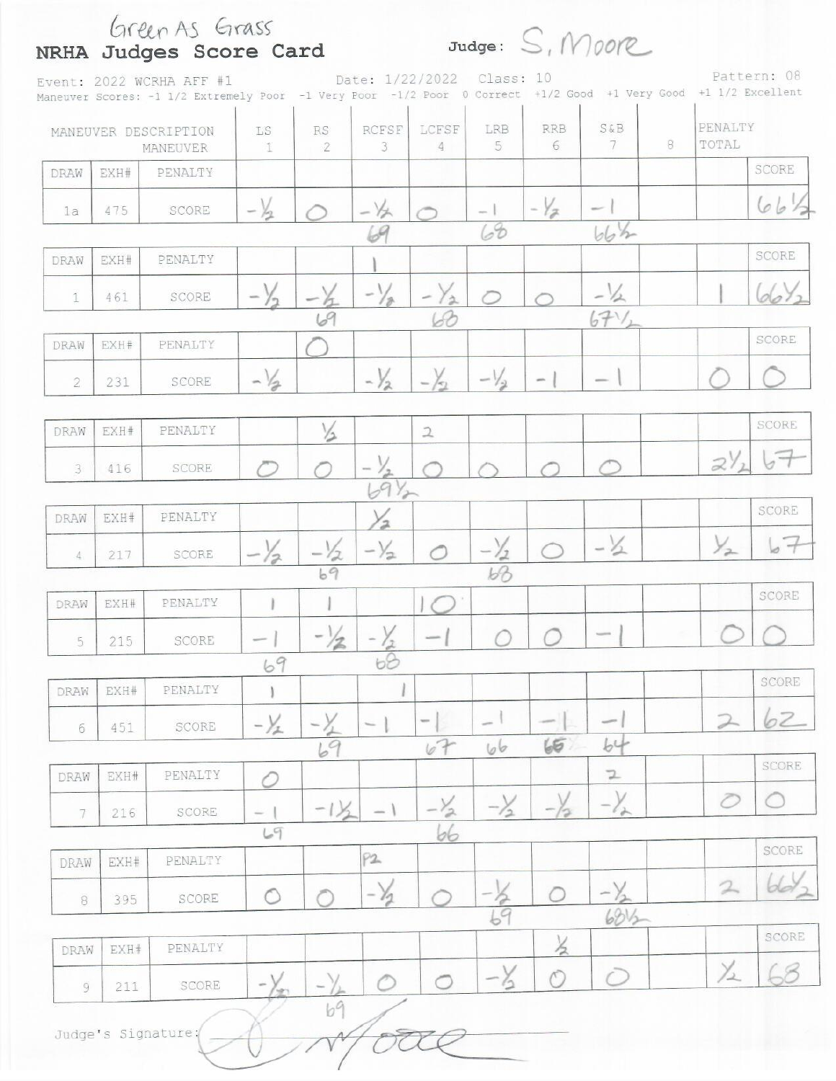|                         |      | Event: 2022 WCRHA AFF #1<br>Maneuver Scores: -1 1/2 Extremely Poor -1 Very Poor -1/2 Poor 0 Correct +1/2 Good +1 Very Good +1 1/2 Excellent |                                |                          |                      | Date: 1/22/2022 | Class: 10      |                 |                |   |                  | Pattern: 08 |
|-------------------------|------|---------------------------------------------------------------------------------------------------------------------------------------------|--------------------------------|--------------------------|----------------------|-----------------|----------------|-----------------|----------------|---|------------------|-------------|
|                         |      | MANEUVER DESCRIPTION<br>MANEUVER                                                                                                            | LS<br>1                        | <b>RS</b><br>$\tilde{2}$ | RCFSF<br>3           | LCFSF<br>4      | LRB<br>5       | <b>RRB</b><br>6 | S&B<br>7       | 8 | PENALTY<br>TOTAL |             |
| DRAW                    | EXH# | PENALTY                                                                                                                                     |                                |                          |                      |                 |                |                 |                |   |                  | SCORE       |
| 1a                      | 475  | SCORE                                                                                                                                       | $\sim$                         |                          |                      |                 | 68             | $-\frac{1}{2}$  |                |   |                  | 66.         |
| DRAW                    | EXH# | PENALTY                                                                                                                                     |                                |                          |                      |                 |                |                 | bbh            |   |                  | SCORE       |
| $\mathbb{1}$            | 461  | SCORE                                                                                                                                       |                                | 19                       | $-\frac{1}{2}$       | $\Delta$        |                |                 | 67.            |   |                  |             |
| DRAW                    | EXH# | PENALTY                                                                                                                                     |                                |                          |                      |                 |                |                 |                |   |                  | SCORE       |
| 2                       | 231  | SCORE                                                                                                                                       | $-1/2$                         |                          | $-\frac{1}{2}$       |                 | $-l$           |                 |                |   |                  |             |
| DRAW                    | EXH# | PENALTY                                                                                                                                     |                                | $\sqrt{2}$               |                      | $\mathfrak{D}$  |                |                 |                |   |                  | SCORE       |
| $\overline{\mathbf{3}}$ | 416  | SCORE                                                                                                                                       |                                |                          | $-\frac{1}{2}$<br>39 |                 |                |                 |                |   | $2\frac{1}{2}$   |             |
| DRAW                    | EXH# | PENALTY                                                                                                                                     |                                |                          | 2                    |                 |                |                 |                |   |                  | SCORE       |
| 4                       | 217  | SCORE                                                                                                                                       |                                | /2<br>69                 | $-\frac{1}{2}$       |                 | $-\frac{1}{2}$ |                 | $-\frac{1}{2}$ |   | $\frac{1}{2}$    |             |
| DRAW                    | EXH# | PENALTY                                                                                                                                     |                                |                          |                      |                 |                |                 |                |   |                  | SCORE       |
|                         |      | SCORE                                                                                                                                       | <b>Service</b>                 | $^{-1}/2$                |                      | sense.          |                |                 |                |   |                  |             |
| 5                       | 215  |                                                                                                                                             | 69                             |                          | 68                   |                 |                |                 |                |   |                  |             |
| DRAW                    | EXH# | PENALTY                                                                                                                                     |                                |                          |                      |                 |                |                 |                |   |                  | SCORE       |
| 6                       | 451  | SCORE                                                                                                                                       | $-\frac{1}{2}$                 |                          |                      | ÷               |                |                 | $\sim$         |   | $\mathcal{D}$    | 62          |
|                         |      |                                                                                                                                             |                                | 69                       |                      | 67              | 66             | 65              | b <sup>L</sup> |   |                  | SCORE       |
| DRAW                    | EXH# | PENALTY                                                                                                                                     | C                              |                          |                      |                 |                |                 | Z              |   | Ō                |             |
| 7                       | 216  | SCORE                                                                                                                                       | $\overline{\phantom{a}}$<br>69 | $-1\frac{1}{2}$          |                      | 2<br>66         | $-\frac{1}{2}$ |                 |                |   |                  |             |
| DRAW                    | EXH# | PENALTY                                                                                                                                     |                                |                          | P2                   |                 |                |                 |                |   |                  | SCORE       |
| $\, 8$                  | 395  | SCORE                                                                                                                                       | O                              |                          | $-\gamma_1$          |                 |                |                 | -              |   | 2                | bd          |
|                         |      |                                                                                                                                             |                                |                          |                      |                 | 69             |                 | 6812           |   |                  | SCORE       |
| DRAW                    | EXH# | PENALTY                                                                                                                                     |                                |                          |                      |                 |                | $\times$        |                |   | y                |             |
| 9                       | 211  | SCORE                                                                                                                                       |                                | $\sim$<br>69             | ◠                    | ◯               |                | Õ               |                |   |                  |             |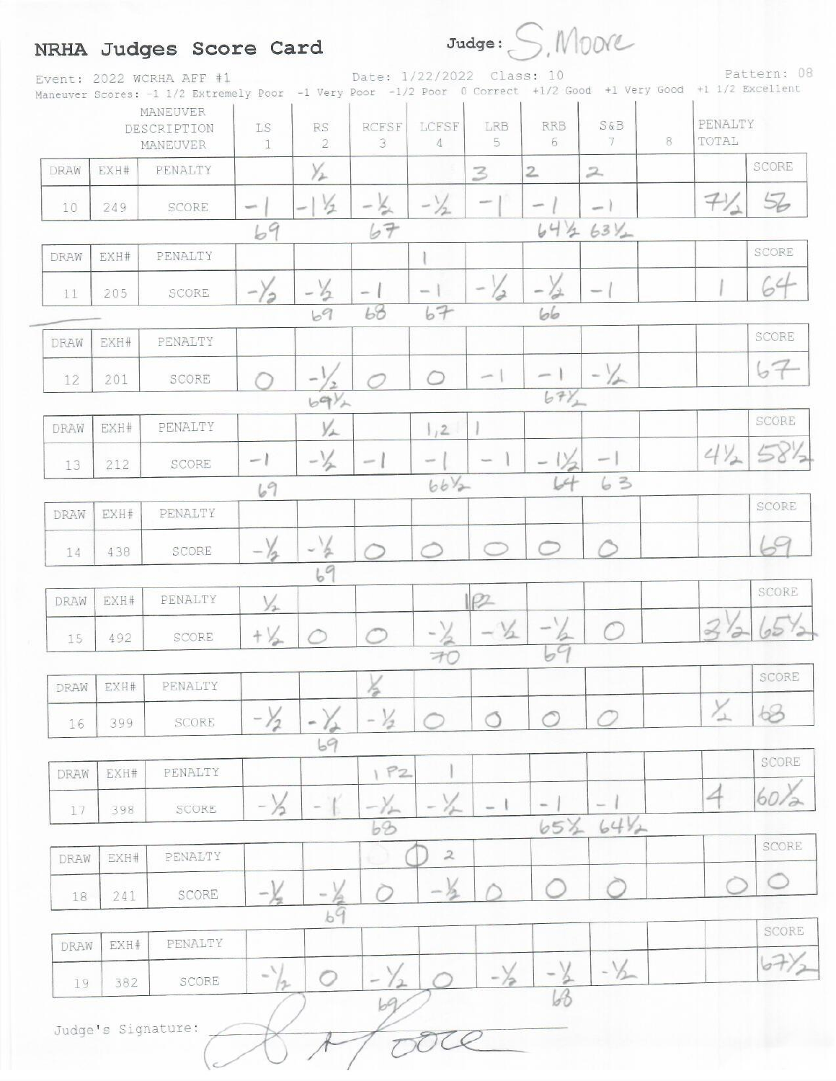# NRHA Judges Score Card

 $Judge: S, MODE$ 

Event: 2022 WCRHA AFF #1 Date: 1/22/2022 Class: 10 Pattern: 08<br>Maneuver Scores: -1 1/2 Extremely Poor -1 Very Poor -1/2 Poor 0 Correct +1/2 Good +1 Very Good +1 1/2 Excellent Pattern: 08

|             |                  | MANEUVER<br>DESCRIPTION<br>MANEUVER | LS<br>$\mathbb{1}$          | $\mathbb{R}\mathcal{S}$<br>$\overline{2}$ | RCFSF<br>3               | LCFSF<br>$\overline{4}$ | LRB<br>5       | <b>RRB</b><br>6                  | $S\&B$<br>7              | 8 | PENALTY<br>TOTAL    |       |
|-------------|------------------|-------------------------------------|-----------------------------|-------------------------------------------|--------------------------|-------------------------|----------------|----------------------------------|--------------------------|---|---------------------|-------|
| DRAW        | EXH#             | PENALTY                             |                             | Yı                                        |                          |                         | 3              | $\mathbf{2}$                     | $\mathcal{Z}$            |   |                     | SCORE |
| 10          | 249              | SCORE                               | $\mathbf{w}^{(t)}$          | $\frac{1}{2}$                             |                          | $-\frac{1}{2}$          | $\sim$         | ÷                                | - 1                      |   | 71                  | 56    |
|             |                  |                                     | 69                          |                                           | 67                       |                         |                | 6412                             | $63V_{+}$                |   |                     |       |
| DRAW        | EXH#             | PENALTY                             |                             |                                           |                          |                         |                |                                  |                          |   |                     | SCORE |
| 11          | 205              | SCORE                               | $-\frac{1}{2}$              | $-\frac{1}{2}$                            | $\sim$                   | m.                      | $-\frac{1}{d}$ | i.<br>$\frac{1}{\sigma^2}$       | $\sim$                   |   |                     | 64    |
|             |                  |                                     |                             | 69                                        | 68                       | 67                      |                | 66                               |                          |   |                     |       |
| DRAW        | EXH#             | PENALTY                             |                             |                                           |                          |                         |                |                                  |                          |   |                     | SCORE |
| 12          | 201              | SCORE                               |                             |                                           |                          |                         | $-1$           | $\mu$                            | $-\frac{1}{2}$           |   |                     | 67    |
|             |                  |                                     |                             | $69\%$                                    |                          |                         |                | $67\frac{1}{2}$                  |                          |   |                     |       |
| DRAW        | EXH#             | PENALTY                             |                             | YL                                        |                          | 1/2                     |                |                                  |                          |   |                     | SCORE |
| 13          | 212              | SCORE                               | $-1$                        | $-\frac{1}{2}$                            | $-1$                     | <b>SOF</b>              | 1.<br>$\sim$   | $-1/2$                           | $\overline{\phantom{a}}$ |   | $4\frac{1}{2}$      | 5812  |
|             |                  |                                     | 69                          |                                           |                          | $66V_{2}$               |                | 64                               | 63                       |   |                     |       |
| DRAW        | EXH#             | PENALTY                             |                             |                                           |                          |                         |                |                                  |                          |   |                     | SCORE |
| 14          | 438              | SCORE                               | $-\sqrt{2}$                 | $-\frac{1}{2}$                            |                          |                         |                |                                  |                          |   |                     | 69    |
|             |                  |                                     |                             | 69                                        |                          |                         |                |                                  |                          |   |                     | SCORE |
| DRAW        | EXH#             | PENALTY                             | $\frac{1}{2}$               |                                           |                          |                         | P              |                                  |                          |   |                     |       |
| 15          | 492              | SCORE                               | $+ \frac{1}{2}$             |                                           |                          |                         | $-\frac{V}{2}$ | $\frac{1}{2}$<br>$b\overline{9}$ |                          |   | $\mathcal{Q}$<br>'ə | 05    |
|             | EXH#             | PENALTY                             |                             |                                           |                          | 70                      |                |                                  |                          |   |                     | SCORE |
| DRAW        |                  |                                     | $\lambda$                   | $\sim$ $\lambda$                          | 12                       |                         |                |                                  |                          |   | $\times$            | $68$  |
| 16          | 399              | SCORE                               | $-12$                       | ÷<br>69                                   | $\sim$<br>72             |                         |                |                                  |                          |   |                     |       |
| DRAW        | $\mbox{EXH}\,\#$ | PENALTY                             |                             |                                           | P2                       |                         |                |                                  |                          |   |                     | SCORE |
| 17          | 398              | SCORE                               | $-\frac{1}{2}$              |                                           |                          |                         |                | $\sim$                           |                          |   | 4                   | 60,   |
|             |                  |                                     |                             |                                           | $b$ <sup>2</sup>         |                         |                | 65%                              | $64V_2$                  |   |                     |       |
| DRAW        | EXH#             | PENALTY                             |                             |                                           |                          | $\mathcal Z$            |                |                                  |                          |   |                     | SCORE |
| 18          | 241              | SCORE                               | – <u>V</u>                  |                                           |                          | $-\frac{1}{2}$          |                |                                  |                          |   |                     |       |
|             |                  |                                     |                             | $\frac{1}{69}$                            |                          |                         |                |                                  |                          |   |                     | SCORE |
| <b>DRAW</b> | EXH#             | PENALTY                             |                             |                                           |                          |                         |                |                                  |                          |   |                     |       |
| 19          | 382              | SCORE                               | $\tilde{\phantom{a}}$<br>12 | $\circ$                                   | $\overline{\phantom{a}}$ |                         | $-\lambda$     |                                  | $-1/2$                   |   |                     | 67)   |
|             |                  |                                     |                             |                                           | 69                       |                         |                | 63                               |                          |   |                     |       |
|             |                  | Judge's Signature:                  |                             |                                           |                          |                         |                |                                  |                          |   |                     |       |